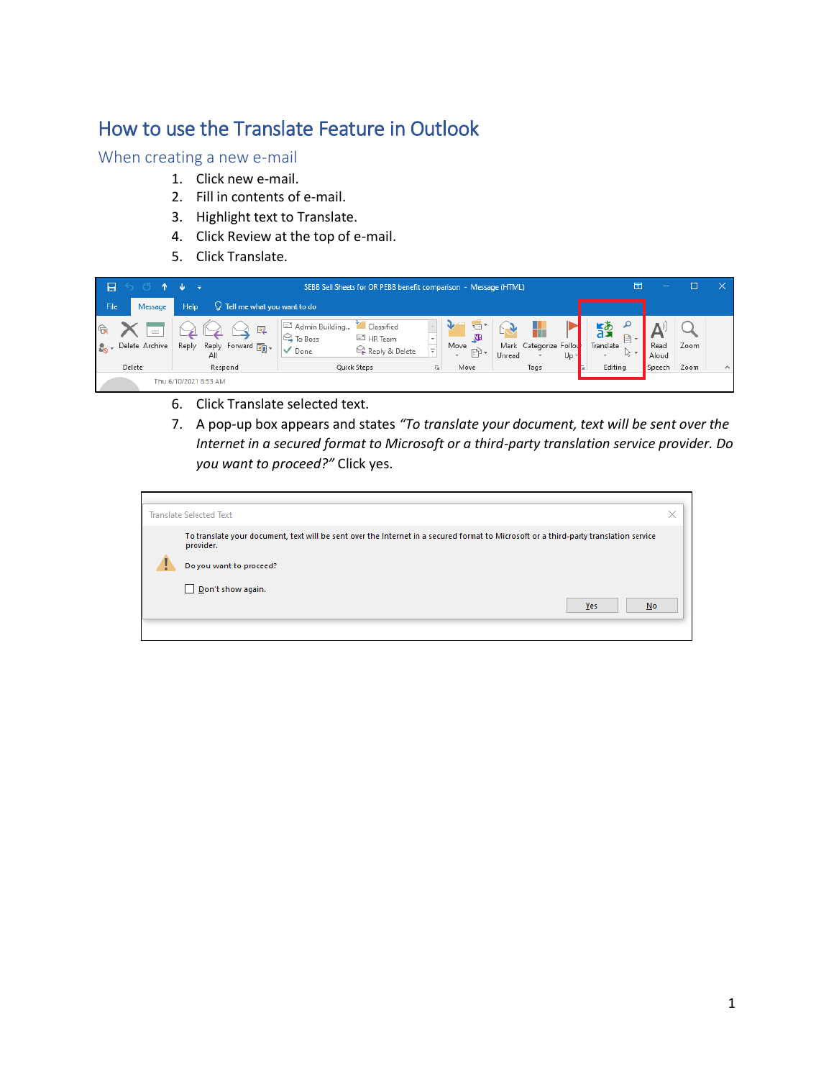## How to use the Translate Feature in Outlook

## When creating a new e-mail

- 1. Click new e-mail.
- 2. Fill in contents of e-mail.
- 3. Highlight text to Translate.
- 4. Click Review at the top of e-mail.
- 5. Click Translate.



- 6. Click Translate selected text.
- 7. A pop-up box appears and states *"To translate your document, text will be sent over the Internet in a secured format to Microsoft or a third-party translation service provider. Do you want to proceed?"* Click yes.

| <b>Translate Selected Text</b>                                                                                                                                                                                  | $\times$ |
|-----------------------------------------------------------------------------------------------------------------------------------------------------------------------------------------------------------------|----------|
| To translate your document, text will be sent over the Internet in a secured format to Microsoft or a third-party translation service<br>provider.<br>Do you want to proceed?<br>Don't show again.<br>Yes<br>No |          |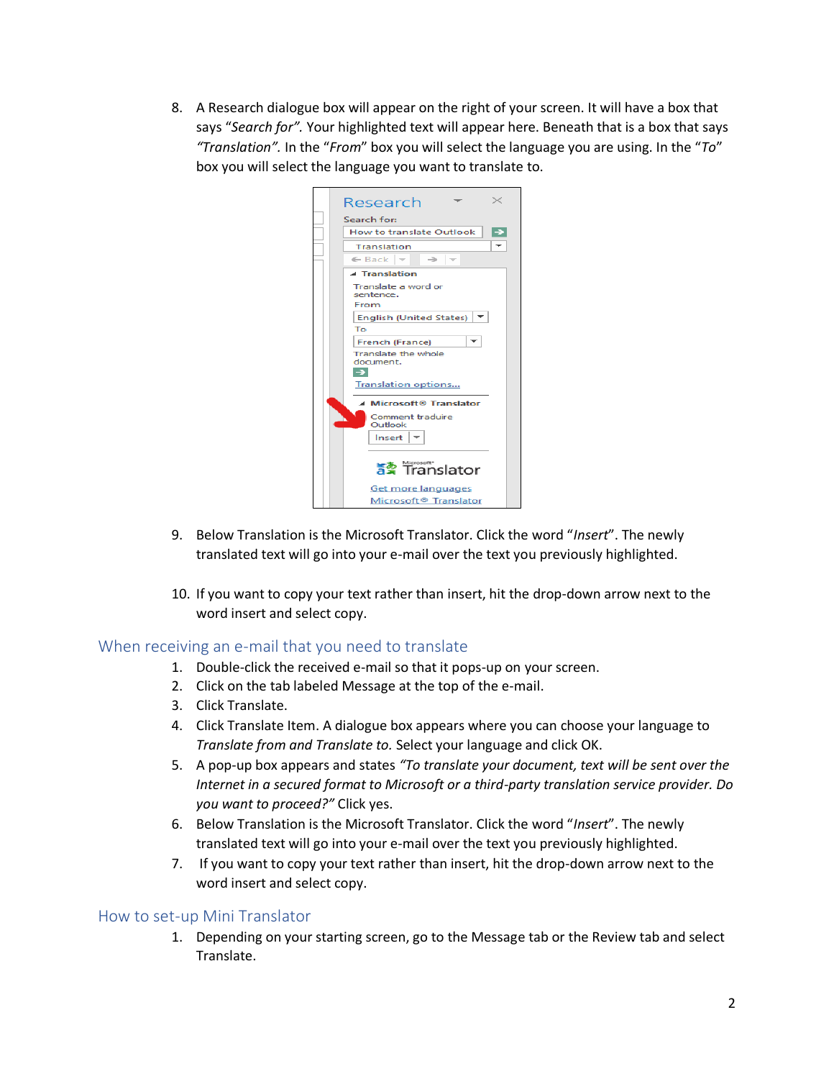8. A Research dialogue box will appear on the right of your screen. It will have a box that says "*Search for".* Your highlighted text will appear here. Beneath that is a box that says *"Translation".* In the "*From*" box you will select the language you are using. In the "*To*" box you will select the language you want to translate to.

|                                                                            | Research                                                | $\times$      |  |  |  |  |
|----------------------------------------------------------------------------|---------------------------------------------------------|---------------|--|--|--|--|
| Search for:                                                                |                                                         |               |  |  |  |  |
|                                                                            | How to translate Outlook                                | $\rightarrow$ |  |  |  |  |
|                                                                            | Translation                                             |               |  |  |  |  |
| $\leftarrow$ Back<br>$\sim$<br>→<br>$\sim$<br>$\blacktriangle$ Translation |                                                         |               |  |  |  |  |
|                                                                            |                                                         |               |  |  |  |  |
| <b>English (United States)</b>                                             |                                                         |               |  |  |  |  |
| Tο                                                                         |                                                         |               |  |  |  |  |
| French (France)                                                            |                                                         |               |  |  |  |  |
| Translate the whole<br>document.                                           |                                                         |               |  |  |  |  |
|                                                                            |                                                         |               |  |  |  |  |
|                                                                            | <b>Translation options</b>                              |               |  |  |  |  |
| ▲ Microsoft® Translator                                                    |                                                         |               |  |  |  |  |
|                                                                            | Comment traduire<br>Outlook                             |               |  |  |  |  |
|                                                                            | Insert                                                  |               |  |  |  |  |
|                                                                            | http://www.projectr<br>https://www.projectri            | Translator    |  |  |  |  |
|                                                                            | Get more languages<br>Microsoft <sup>®</sup> Translator |               |  |  |  |  |

- 9. Below Translation is the Microsoft Translator. Click the word "*Insert*". The newly translated text will go into your e-mail over the text you previously highlighted.
- 10. If you want to copy your text rather than insert, hit the drop-down arrow next to the word insert and select copy.

## When receiving an e-mail that you need to translate

- 1. Double-click the received e-mail so that it pops-up on your screen.
- 2. Click on the tab labeled Message at the top of the e-mail.
- 3. Click Translate.
- 4. Click Translate Item. A dialogue box appears where you can choose your language to *Translate from and Translate to.* Select your language and click OK.
- 5. A pop-up box appears and states *"To translate your document, text will be sent over the Internet in a secured format to Microsoft or a third-party translation service provider. Do you want to proceed?"* Click yes.
- 6. Below Translation is the Microsoft Translator. Click the word "*Insert*". The newly translated text will go into your e-mail over the text you previously highlighted.
- 7. If you want to copy your text rather than insert, hit the drop-down arrow next to the word insert and select copy.

## How to set-up Mini Translator

1. Depending on your starting screen, go to the Message tab or the Review tab and select Translate.